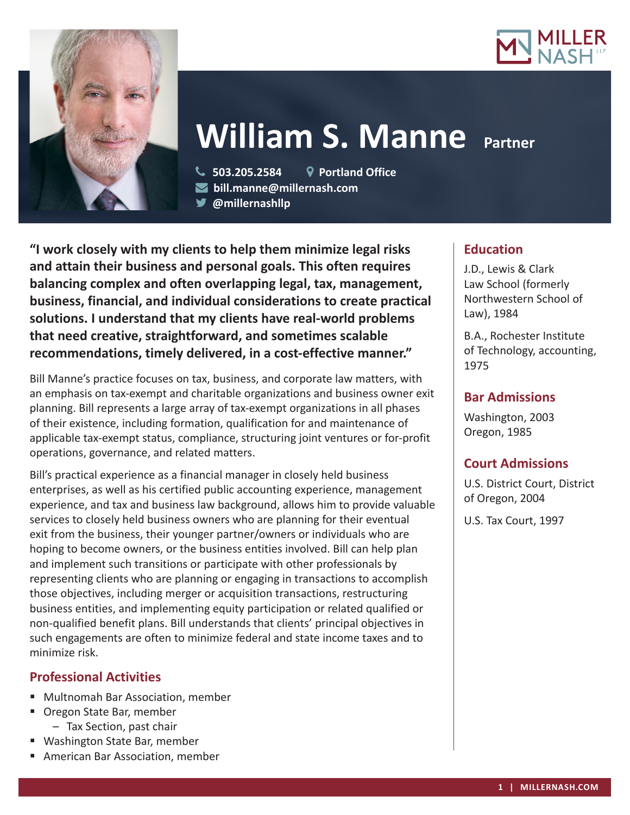



# **William S. Manne** Partner

 **503.205.2584 Portland Office bill.manne@millernash.com** 

**@millernashllp** 

**"I work closely with my clients to help them minimize legal risks and attain their business and personal goals. This often requires balancing complex and often overlapping legal, tax, management, business, financial, and individual considerations to create practical solutions. I understand that my clients have real-world problems that need creative, straightforward, and sometimes scalable recommendations, timely delivered, in a cost-effective manner."**

Bill Manne's practice focuses on tax, business, and corporate law matters, with an emphasis on tax-exempt and charitable organizations and business owner exit planning. Bill represents a large array of tax-exempt organizations in all phases of their existence, including formation, qualification for and maintenance of applicable tax-exempt status, compliance, structuring joint ventures or for-profit operations, governance, and related matters.

Bill's practical experience as a financial manager in closely held business enterprises, as well as his certified public accounting experience, management experience, and tax and business law background, allows him to provide valuable services to closely held business owners who are planning for their eventual exit from the business, their younger partner/owners or individuals who are hoping to become owners, or the business entities involved. Bill can help plan and implement such transitions or participate with other professionals by representing clients who are planning or engaging in transactions to accomplish those objectives, including merger or acquisition transactions, restructuring business entities, and implementing equity participation or related qualified or non-qualified benefit plans. Bill understands that clients' principal objectives in such engagements are often to minimize federal and state income taxes and to minimize risk.

# **Professional Activities**

- Multnomah Bar Association, member
- **Oregon State Bar, member** – Tax Section, past chair
- Washington State Bar, member
- American Bar Association, member

# **Education**

J.D., Lewis & Clark Law School (formerly Northwestern School of Law), 1984

B.A., Rochester Institute of Technology, accounting, 1975

# **Bar Admissions**

Washington, 2003 Oregon, 1985

# **Court Admissions**

U.S. District Court, District of Oregon, 2004

U.S. Tax Court, 1997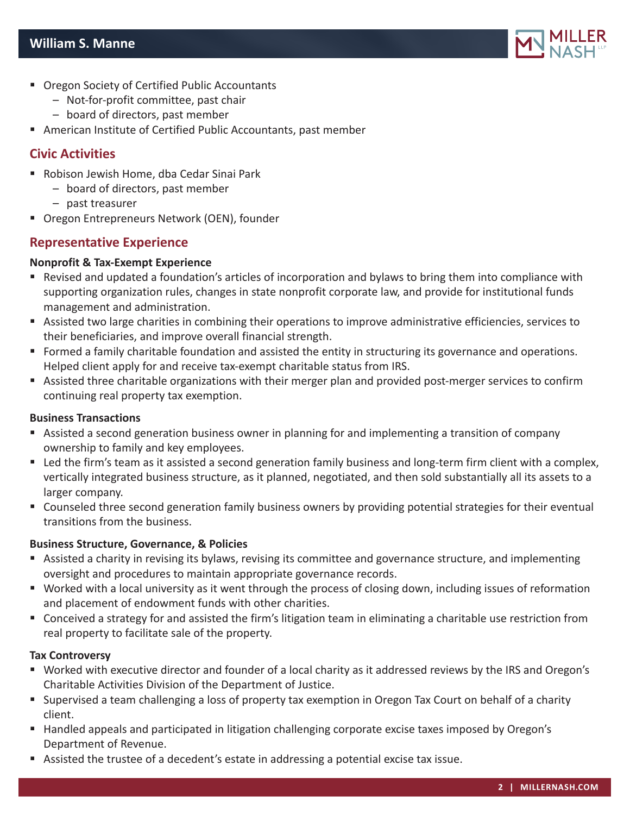

- Oregon Society of Certified Public Accountants
	- Not-for-profit committee, past chair
	- board of directors, past member
- American Institute of Certified Public Accountants, past member

## **Civic Activities**

- Robison Jewish Home, dba Cedar Sinai Park
	- board of directors, past member
	- past treasurer
- Oregon Entrepreneurs Network (OEN), founder

## **Representative Experience**

#### **Nonprofit & Tax-Exempt Experience**

- Revised and updated a foundation's articles of incorporation and bylaws to bring them into compliance with supporting organization rules, changes in state nonprofit corporate law, and provide for institutional funds management and administration.
- Assisted two large charities in combining their operations to improve administrative efficiencies, services to their beneficiaries, and improve overall financial strength.
- Formed a family charitable foundation and assisted the entity in structuring its governance and operations. Helped client apply for and receive tax-exempt charitable status from IRS.
- Assisted three charitable organizations with their merger plan and provided post-merger services to confirm continuing real property tax exemption.

#### **Business Transactions**

- Assisted a second generation business owner in planning for and implementing a transition of company ownership to family and key employees.
- Led the firm's team as it assisted a second generation family business and long-term firm client with a complex, vertically integrated business structure, as it planned, negotiated, and then sold substantially all its assets to a larger company.
- Counseled three second generation family business owners by providing potential strategies for their eventual transitions from the business.

#### **Business Structure, Governance, & Policies**

- Assisted a charity in revising its bylaws, revising its committee and governance structure, and implementing oversight and procedures to maintain appropriate governance records.
- Worked with a local university as it went through the process of closing down, including issues of reformation and placement of endowment funds with other charities.
- Conceived a strategy for and assisted the firm's litigation team in eliminating a charitable use restriction from real property to facilitate sale of the property.

#### **Tax Controversy**

- Worked with executive director and founder of a local charity as it addressed reviews by the IRS and Oregon's Charitable Activities Division of the Department of Justice.
- Supervised a team challenging a loss of property tax exemption in Oregon Tax Court on behalf of a charity client.
- Handled appeals and participated in litigation challenging corporate excise taxes imposed by Oregon's Department of Revenue.
- Assisted the trustee of a decedent's estate in addressing a potential excise tax issue.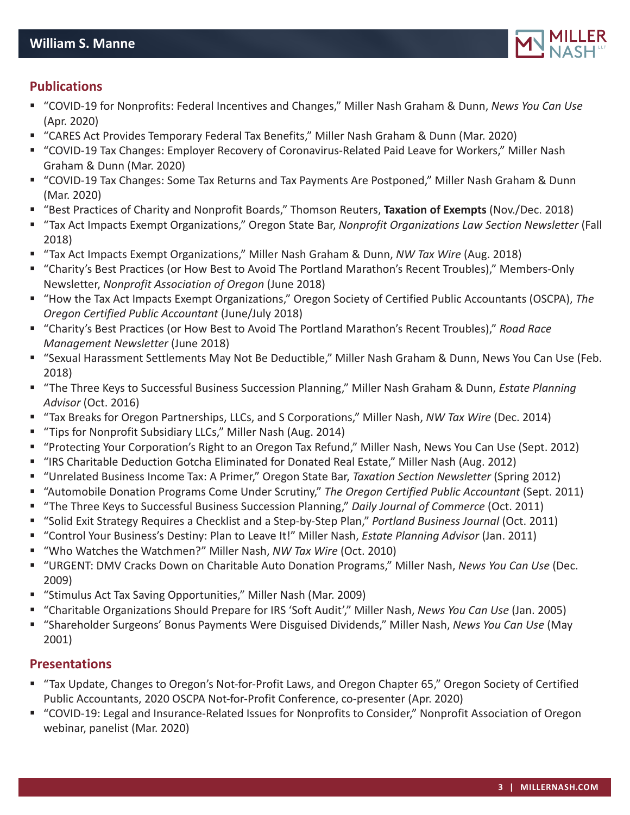

## **Publications**

- "COVID-19 for Nonprofits: Federal Incentives and Changes," Miller Nash Graham & Dunn, *News You Can Use* (Apr. 2020)
- "CARES Act Provides Temporary Federal Tax Benefits," Miller Nash Graham & Dunn (Mar. 2020)
- "COVID-19 Tax Changes: Employer Recovery of Coronavirus-Related Paid Leave for Workers," Miller Nash Graham & Dunn (Mar. 2020)
- "COVID-19 Tax Changes: Some Tax Returns and Tax Payments Are Postponed," Miller Nash Graham & Dunn (Mar. 2020)
- "Best Practices of Charity and Nonprofit Boards," Thomson Reuters, **Taxation of Exempts** (Nov./Dec. 2018)
- "Tax Act Impacts Exempt Organizations," Oregon State Bar, *Nonprofit Organizations Law Section Newsletter* (Fall 2018)
- "Tax Act Impacts Exempt Organizations," Miller Nash Graham & Dunn, *NW Tax Wire* (Aug. 2018)
- "Charity's Best Practices (or How Best to Avoid The Portland Marathon's Recent Troubles)," Members-Only Newsletter, *Nonprofit Association of Oregon* (June 2018)
- "How the Tax Act Impacts Exempt Organizations," Oregon Society of Certified Public Accountants (OSCPA), *The Oregon Certified Public Accountant* (June/July 2018)
- "Charity's Best Practices (or How Best to Avoid The Portland Marathon's Recent Troubles)," *Road Race Management Newsletter* (June 2018)
- "Sexual Harassment Settlements May Not Be Deductible," Miller Nash Graham & Dunn, News You Can Use (Feb. 2018)
- "The Three Keys to Successful Business Succession Planning," Miller Nash Graham & Dunn, *Estate Planning Advisor* (Oct. 2016)
- "Tax Breaks for Oregon Partnerships, LLCs, and S Corporations," Miller Nash, *NW Tax Wire* (Dec. 2014)
- "Tips for Nonprofit Subsidiary LLCs," Miller Nash (Aug. 2014)
- "Protecting Your Corporation's Right to an Oregon Tax Refund," Miller Nash, News You Can Use (Sept. 2012)
- "IRS Charitable Deduction Gotcha Eliminated for Donated Real Estate," Miller Nash (Aug. 2012)
- "Unrelated Business Income Tax: A Primer," Oregon State Bar, *Taxation Section Newsletter* (Spring 2012)
- "Automobile Donation Programs Come Under Scrutiny," *The Oregon Certified Public Accountant* (Sept. 2011)
- "The Three Keys to Successful Business Succession Planning," *Daily Journal of Commerce* (Oct. 2011)
- "Solid Exit Strategy Requires a Checklist and a Step-by-Step Plan," *Portland Business Journal* (Oct. 2011)
- "Control Your Business's Destiny: Plan to Leave It!" Miller Nash, *Estate Planning Advisor* (Jan. 2011)
- "Who Watches the Watchmen?" Miller Nash, *NW Tax Wire* (Oct. 2010)
- "URGENT: DMV Cracks Down on Charitable Auto Donation Programs," Miller Nash, *News You Can Use* (Dec. 2009)
- "Stimulus Act Tax Saving Opportunities," Miller Nash (Mar. 2009)
- "Charitable Organizations Should Prepare for IRS 'Soft Audit'," Miller Nash, *News You Can Use* (Jan. 2005)
- "Shareholder Surgeons' Bonus Payments Were Disguised Dividends," Miller Nash, *News You Can Use* (May 2001)

## **Presentations**

- "Tax Update, Changes to Oregon's Not-for-Profit Laws, and Oregon Chapter 65," Oregon Society of Certified Public Accountants, 2020 OSCPA Not-for-Profit Conference, co-presenter (Apr. 2020)
- "COVID-19: Legal and Insurance-Related Issues for Nonprofits to Consider," Nonprofit Association of Oregon webinar, panelist (Mar. 2020)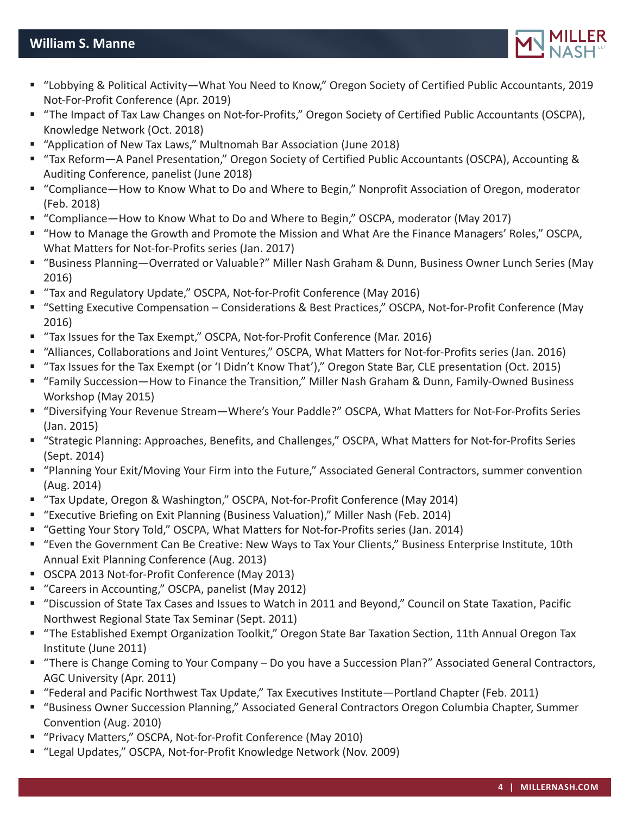

- "Lobbying & Political Activity—What You Need to Know," Oregon Society of Certified Public Accountants, 2019 Not-For-Profit Conference (Apr. 2019)
- "The Impact of Tax Law Changes on Not-for-Profits," Oregon Society of Certified Public Accountants (OSCPA), Knowledge Network (Oct. 2018)
- "Application of New Tax Laws," Multnomah Bar Association (June 2018)
- "Tax Reform—A Panel Presentation," Oregon Society of Certified Public Accountants (OSCPA), Accounting & Auditing Conference, panelist (June 2018)
- "Compliance—How to Know What to Do and Where to Begin," Nonprofit Association of Oregon, moderator (Feb. 2018)
- "Compliance—How to Know What to Do and Where to Begin," OSCPA, moderator (May 2017)
- "How to Manage the Growth and Promote the Mission and What Are the Finance Managers' Roles," OSCPA, What Matters for Not-for-Profits series (Jan. 2017)
- "Business Planning—Overrated or Valuable?" Miller Nash Graham & Dunn, Business Owner Lunch Series (May 2016)
- "Tax and Regulatory Update," OSCPA, Not-for-Profit Conference (May 2016)
- "Setting Executive Compensation Considerations & Best Practices," OSCPA, Not-for-Profit Conference (May 2016)
- "Tax Issues for the Tax Exempt," OSCPA, Not-for-Profit Conference (Mar. 2016)
- "Alliances, Collaborations and Joint Ventures," OSCPA, What Matters for Not-for-Profits series (Jan. 2016)
- "Tax Issues for the Tax Exempt (or 'I Didn't Know That')," Oregon State Bar, CLE presentation (Oct. 2015)
- "Family Succession—How to Finance the Transition," Miller Nash Graham & Dunn, Family-Owned Business Workshop (May 2015)
- "Diversifying Your Revenue Stream—Where's Your Paddle?" OSCPA, What Matters for Not-For-Profits Series (Jan. 2015)
- "Strategic Planning: Approaches, Benefits, and Challenges," OSCPA, What Matters for Not-for-Profits Series (Sept. 2014)
- "Planning Your Exit/Moving Your Firm into the Future," Associated General Contractors, summer convention (Aug. 2014)
- "Tax Update, Oregon & Washington," OSCPA, Not-for-Profit Conference (May 2014)
- "Executive Briefing on Exit Planning (Business Valuation)," Miller Nash (Feb. 2014)
- "Getting Your Story Told," OSCPA, What Matters for Not-for-Profits series (Jan. 2014)
- "Even the Government Can Be Creative: New Ways to Tax Your Clients," Business Enterprise Institute, 10th Annual Exit Planning Conference (Aug. 2013)
- OSCPA 2013 Not-for-Profit Conference (May 2013)
- "Careers in Accounting," OSCPA, panelist (May 2012)
- "Discussion of State Tax Cases and Issues to Watch in 2011 and Beyond," Council on State Taxation, Pacific Northwest Regional State Tax Seminar (Sept. 2011)
- "The Established Exempt Organization Toolkit," Oregon State Bar Taxation Section, 11th Annual Oregon Tax Institute (June 2011)
- "There is Change Coming to Your Company Do you have a Succession Plan?" Associated General Contractors, AGC University (Apr. 2011)
- "Federal and Pacific Northwest Tax Update," Tax Executives Institute—Portland Chapter (Feb. 2011)
- "Business Owner Succession Planning," Associated General Contractors Oregon Columbia Chapter, Summer Convention (Aug. 2010)
- "Privacy Matters," OSCPA, Not-for-Profit Conference (May 2010)
- "Legal Updates," OSCPA, Not-for-Profit Knowledge Network (Nov. 2009)